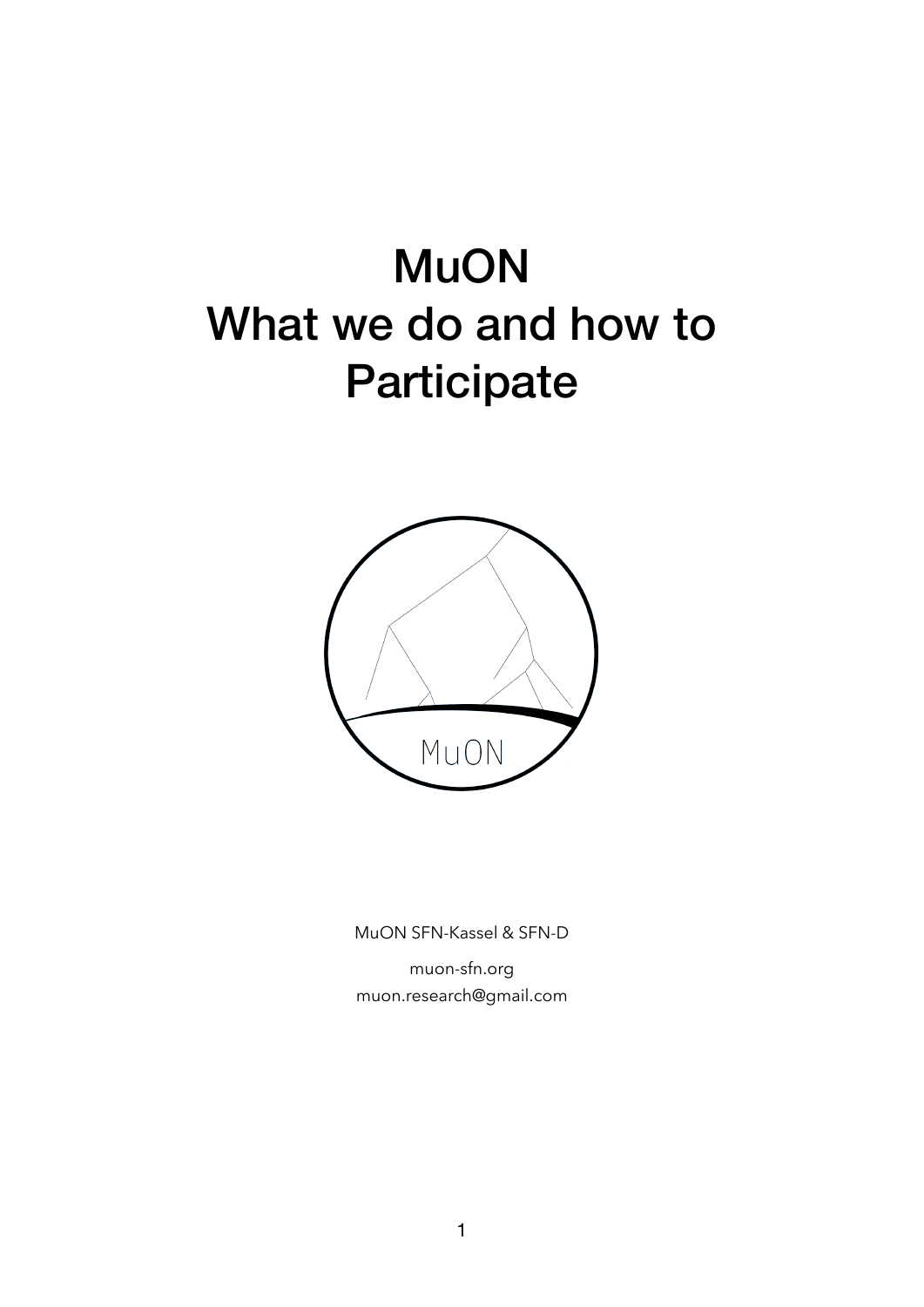## **MuON** What we do and how to **Participate**



MuON SFN-Kassel & SFN-D

[muon-sfn.org](http://muon-sfn.org) [muon.research@gmail.com](mailto:muon.research@gmail.com)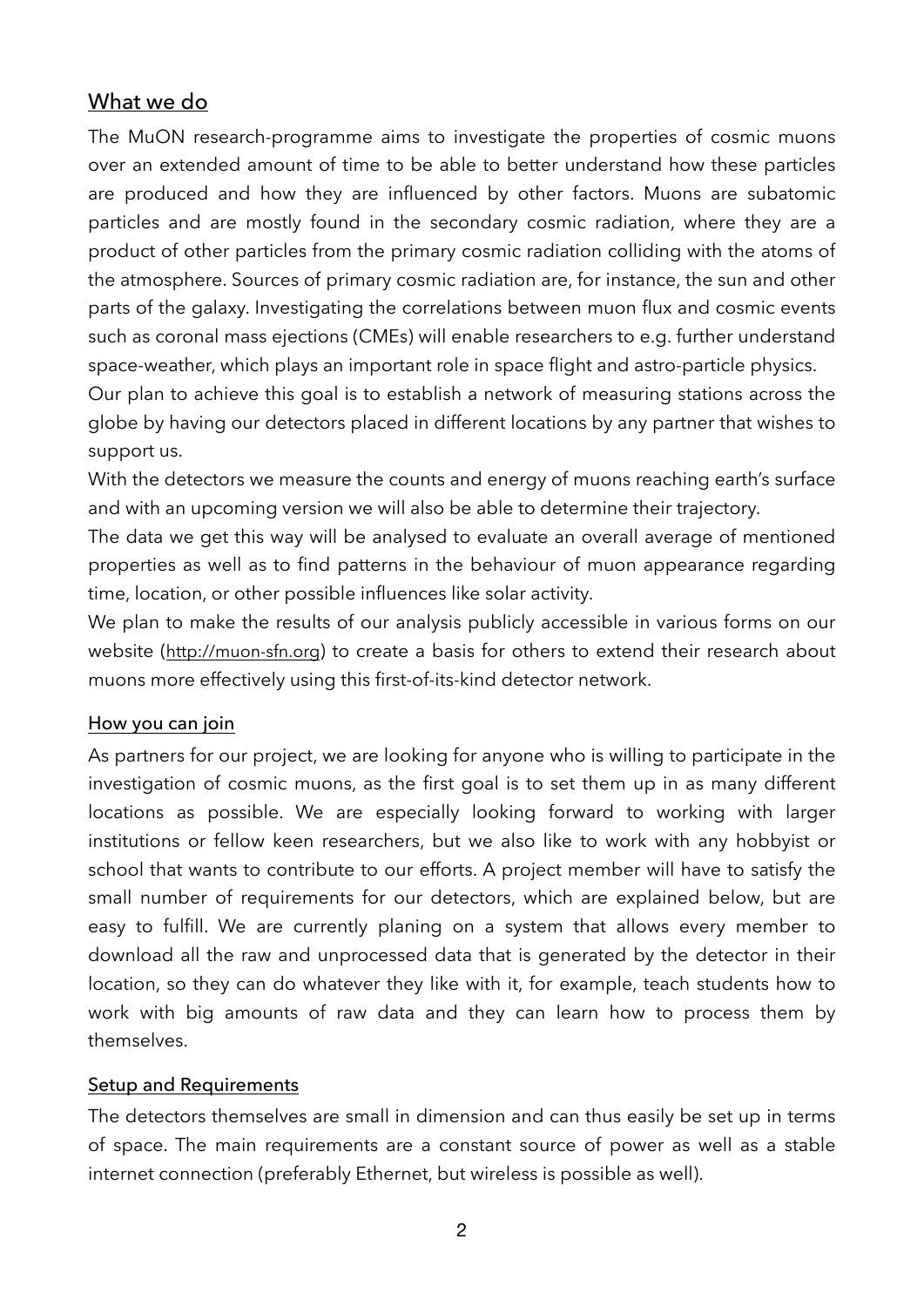## What we do

The MuON research-programme aims to investigate the properties of cosmic muons over an extended amount of time to be able to better understand how these particles are produced and how they are influenced by other factors. Muons are subatomic particles and are mostly found in the secondary cosmic radiation, where they are a product of other particles from the primary cosmic radiation colliding with the atoms of the atmosphere. Sources of primary cosmic radiation are, for instance, the sun and other parts of the galaxy. Investigating the correlations between muon flux and cosmic events such as coronal mass ejections (CMEs) will enable researchers to e.g. further understand space-weather, which plays an important role in space flight and astro-particle physics.

Our plan to achieve this goal is to establish a network of measuring stations across the globe by having our detectors placed in different locations by any partner that wishes to support us.

With the detectors we measure the counts and energy of muons reaching earth's surface and with an upcoming version we will also be able to determine their trajectory.

The data we get this way will be analysed to evaluate an overall average of mentioned properties as well as to find patterns in the behaviour of muon appearance regarding time, location, or other possible influences like solar activity.

We plan to make the results of our analysis publicly accessible in various forms on our website [\(http://muon-sfn.org](http://muon-sfn.org)) to create a basis for others to extend their research about muons more effectively using this first-of-its-kind detector network.

## How you can join

As partners for our project, we are looking for anyone who is willing to participate in the investigation of cosmic muons, as the first goal is to set them up in as many different locations as possible. We are especially looking forward to working with larger institutions or fellow keen researchers, but we also like to work with any hobbyist or school that wants to contribute to our efforts. A project member will have to satisfy the small number of requirements for our detectors, which are explained below, but are easy to fulfill. We are currently planing on a system that allows every member to download all the raw and unprocessed data that is generated by the detector in their location, so they can do whatever they like with it, for example, teach students how to work with big amounts of raw data and they can learn how to process them by themselves.

## Setup and Requirements

The detectors themselves are small in dimension and can thus easily be set up in terms of space. The main requirements are a constant source of power as well as a stable internet connection (preferably Ethernet, but wireless is possible as well).